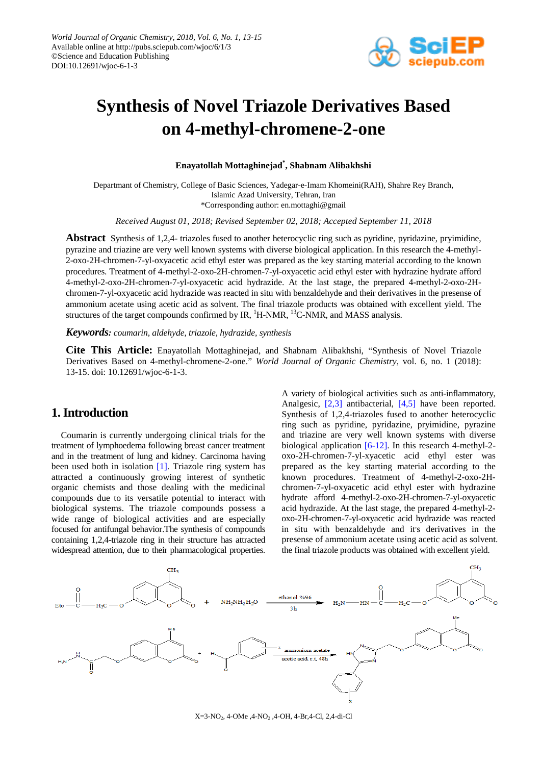

# **Synthesis of Novel Triazole Derivatives Based on 4-methyl-chromene-2-one**

**Enayatollah Mottaghinejad\* , Shabnam Alibakhshi**

Departmant of Chemistry, College of Basic Sciences, Yadegar-e-Imam Khomeini(RAH), Shahre Rey Branch, Islamic Azad University, Tehran, Iran \*Corresponding author: en.mottaghi@gmail

*Received August 01, 2018; Revised September 02, 2018; Accepted September 11, 2018*

**Abstract** Synthesis of 1,2,4- triazoles fused to another heterocyclic ring such as pyridine, pyridazine, pryimidine, pyrazine and triazine are very well known systems with diverse biological application. In this research the 4-methyl-2-oxo-2H-chromen-7-yl-oxyacetic acid ethyl ester was prepared as the key starting material according to the known procedures. Treatment of 4-methyl-2-oxo-2H-chromen-7-yl-oxyacetic acid ethyl ester with hydrazine hydrate afford 4-methyl-2-oxo-2H-chromen-7-yl-oxyacetic acid hydrazide. At the last stage, the prepared 4-methyl-2-oxo-2Hchromen-7-yl-oxyacetic acid hydrazide was reacted in situ with benzaldehyde and their derivatives in the presense of ammonium acetate using acetic acid as solvent. The final triazole products was obtained with excellent yield. The structures of the target compounds confirmed by IR,  $^1$ H-NMR,  $^{13}$ C-NMR, and MASS analysis.

*Keywords: coumarin, aldehyde, triazole, hydrazide, synthesis*

**Cite This Article:** Enayatollah Mottaghinejad, and Shabnam Alibakhshi, "Synthesis of Novel Triazole Derivatives Based on 4-methyl-chromene-2-one." *World Journal of Organic Chemistry*, vol. 6, no. 1 (2018): 13-15. doi: 10.12691/wjoc-6-1-3.

### **1. Introduction**

Coumarin is currently undergoing clinical trials for the treatment of lymphoedema following breast cancer treatment and in the treatment of lung and kidney. Carcinoma having been used both in isolation [\[1\].](#page-2-0) Triazole ring system has attracted a continuously growing interest of synthetic organic chemists and those dealing with the medicinal compounds due to its versatile potential to interact with biological systems. The triazole compounds possess a wide range of biological activities and are especially focused for antifungal behavior.The synthesis of compounds containing 1,2,4-triazole ring in their structure has attracted widespread attention, due to their pharmacological properties.

A variety of biological activities such as anti-inflammatory, Analgesic, [\[2,3\]](#page-2-1) antibacterial, [\[4,5\]](#page-2-2) have been reported. Synthesis of 1,2,4-triazoles fused to another heterocyclic ring such as pyridine, pyridazine, pryimidine, pyrazine and triazine are very well known systems with diverse biological application [\[6-12\].](#page-2-3) In this research 4-methyl-2 oxo-2H-chromen-7-yl-xyacetic acid ethyl ester was prepared as the key starting material according to the known procedures. Treatment of 4-methyl-2-oxo-2Hchromen-7-yl-oxyacetic acid ethyl ester with hydrazine hydrate afford 4-methyl-2-oxo-2H-chromen-7-yl-oxyacetic acid hydrazide. At the last stage, the prepared 4-methyl-2 oxo-2H-chromen-7-yl-oxyacetic acid hydrazide was reacted in situ with benzaldehyde and it's derivatives in the presense of ammonium acetate using acetic acid as solvent. the final triazole products was obtained with excellent yield.



 $X=3-NO<sub>2</sub>$ , 4-OMe , 4-NO<sub>2</sub>, 4-OH, 4-Br, 4-Cl, 2, 4-di-Cl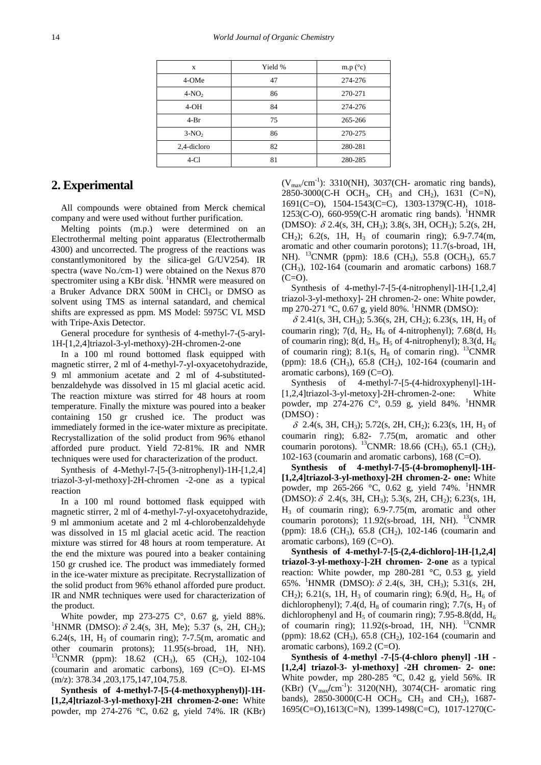| X           | Yield % | m.p $(^{\circ}c)$ |
|-------------|---------|-------------------|
| 4-OMe       | 47      | 274-276           |
| $4-NO2$     | 86      | 270-271           |
| $4-OH$      | 84      | 274-276           |
| $4-Br$      | 75      | 265-266           |
| $3-NO2$     | 86      | 270-275           |
| 2,4-dicloro | 82      | 280-281           |
| $4-C1$      | 81      | 280-285           |

#### **2. Experimental**

All compounds were obtained from Merck chemical company and were used without further purification.

Melting points (m.p.) were determined on an Electrothermal melting point apparatus (Electrothermalb 4300) and uncorrected. The progress of the reactions was constantlymonitored by the silica-gel G/UV254). IR spectra (wave No./cm-1) were obtained on the Nexus 870 spectromiter using a KBr disk. <sup>1</sup>HNMR were measured on a Bruker Advance DRX 500M in CHCl<sub>3</sub> or DMSO as solvent using TMS as internal satandard, and chemical shifts are expressed as ppm. MS Model: 5975C VL MSD with Tripe-Axis Detector.

General procedure for synthesis of 4-methyl-7-(5-aryl-1H-[1,2,4]triazol-3-yl-methoxy)-2H-chromen-2-one

In a 100 ml round bottomed flask equipped with magnetic stirrer, 2 ml of 4-methyl-7-yl-oxyacetohydrazide, 9 ml ammonium acetate and 2 ml of 4-substitutedbenzaldehyde was dissolved in 15 ml glacial acetic acid. The reaction mixture was stirred for 48 hours at room temperature. Finally the mixture was poured into a beaker containing 150 gr crushed ice. The product was immediately formed in the ice-water mixture as precipitate. Recrystallization of the solid product from 96% ethanol afforded pure product. Yield 72-81%. IR and NMR techniques were used for characterization of the product.

Synthesis of 4-Methyl-7-[5-(3-nitrophenyl)-1H-[1,2,4] triazol-3-yl-methoxy]-2H-chromen -2-one as a typical reaction

In a 100 ml round bottomed flask equipped with magnetic stirrer, 2 ml of 4-methyl-7-yl-oxyacetohydrazide, 9 ml ammonium acetate and 2 ml 4-chlorobenzaldehyde was dissolved in 15 ml glacial acetic acid. The reaction mixture was stirred for 48 hours at room temperature. At the end the mixture was poured into a beaker containing 150 gr crushed ice. The product was immediately formed in the ice-water mixture as precipitate. Recrystallization of the solid product from 96% ethanol afforded pure product. IR and NMR techniques were used for characterization of the product.

White powder, mp 273-275 C°, 0.67 g, yield 88%. <sup>1</sup>HNMR (DMSO):  $\delta$  2.4(s, 3H, Me); 5.37 (s, 2H, CH<sub>2</sub>); 6.24(s, 1H,  $H_3$  of coumarin ring); 7-7.5(m, aromatic and other coumarin protons); 11.95(s-broad, 1H, NH). <sup>13</sup>CNMR (ppm): 18.62 (CH<sub>3</sub>), 65 (CH<sub>2</sub>), 102-104 (coumarin and aromatic carbons), 169 (C=O). EI-MS (m/z): 378.34 ,203,175,147,104,75.8.

**Synthesis of 4-methyl-7-[5-(4-methoxyphenyl)]-1H- [1,2,4]triazol-3-yl-methoxy]-2H chromen-2-one:** White powder, mp 274-276 °C, 0.62 g, yield 74%. IR (KBr)

 $(V_{max}/cm^{-1})$ : 3310(NH), 3037(CH- aromatic ring bands), 2850-3000(C-H OCH<sub>3</sub>, CH<sub>3</sub> and CH<sub>2</sub>), 1631 (C=N), 1691(C=O), 1504-1543(C=C), 1303-1379(C-H), 1018- 1253(C-O), 660-959(C-H aromatic ring bands).  ${}^{1}$ HNMR (DMSO): <sup>δ</sup> 2.4(s, 3H, CH3); 3.8(s, 3H, OCH3); 5.2(s, 2H, CH<sub>2</sub>); 6.2(s, 1H, H<sub>3</sub> of coumarin ring); 6.9-7.74(m, aromatic and other coumarin porotons); 11.7(s-broad, 1H, NH). <sup>13</sup>CNMR (ppm): 18.6 (CH<sub>3</sub>), 55.8 (OCH<sub>3</sub>), 65.7  $(CH<sub>3</sub>),$  102-164 (coumarin and aromatic carbons) 168.7  $(C=O)$ .

Synthesis of 4-methyl-7-[5-(4-nitrophenyl]-1H-[1,2,4] triazol-3-yl-methoxy]- 2H chromen-2- one: White powder, mp 270-271 °C, 0.67 g, yield 80%. <sup>1</sup>HNMR (DMSO):

 $\delta$  2.41(s, 3H, CH<sub>3</sub>); 5.36(s, 2H, CH<sub>2</sub>); 6.23(s, 1H, H<sub>3</sub> of coumarin ring); 7(d, H<sub>2</sub>, H<sub>6</sub> of 4-nitrophenyl); 7.68(d, H<sub>5</sub> of coumarin ring); 8(d, H<sub>3</sub>, H<sub>5</sub> of 4-nitrophenyl); 8.3(d, H<sub>6</sub> of coumarin ring); 8.1(s,  $H_8$  of comarin ring). <sup>13</sup>CNMR (ppm): 18.6 (CH<sub>3</sub>), 65.8 (CH<sub>2</sub>), 102-164 (coumarin and aromatic carbons), 169 (C=O).

Synthesis of 4-methyl-7-[5-(4-hidroxyphenyl]-1H- [1,2,4]triazol-3-yl-metoxy]-2H-chromen-2-one: White powder, mp 274-276  $\degree$ C°, 0.59 g, yield 84%. <sup>1</sup>HNMR (DMSO) :

 $\delta$  2.4(s, 3H, CH<sub>3</sub>); 5.72(s, 2H, CH<sub>2</sub>); 6.23(s, 1H, H<sub>3</sub> of coumarin ring); 6.82- 7.75(m, aromatic and other coumarin porotons). <sup>13</sup>CNMR: 18.66 (CH<sub>3</sub>), 65.1 (CH<sub>2</sub>), 102-163 (coumarin and aromatic carbons), 168 (C=O).

**Synthesis of 4-methyl-7-[5-(4-bromophenyl]-1H- [1,2,4]triazol-3-yl-methoxy]-2H chromen-2- one:** White powder, mp 265-266 °C, 0.62 g, yield 74%. <sup>1</sup>HNMR (DMSO):  $\delta$  2.4(s, 3H, CH<sub>3</sub>); 5.3(s, 2H, CH<sub>2</sub>); 6.23(s, 1H,  $H_3$  of coumarin ring); 6.9-7.75(m, aromatic and other coumarin porotons);  $11.92$ (s-broad, 1H, NH). <sup>13</sup>CNMR (ppm): 18.6 (CH<sub>3</sub>), 65.8 (CH<sub>2</sub>), 102-146 (coumarin and aromatic carbons), 169 (C=O).

**Synthesis of 4-methyl-7-[5-(2,4-dichloro]-1H-[1,2,4] triazol-3-yl-methoxy-]-2H chromen- 2-one** as a typical reaction: White powder, mp 280-281 °C, 0.53 g, yield 65%. <sup>1</sup>HNMR (DMSO):  $\delta$  2.4(s, 3H, CH<sub>3</sub>); 5.31(s, 2H, CH<sub>2</sub>); 6.21(s, 1H, H<sub>3</sub> of coumarin ring); 6.9(d, H<sub>5</sub>, H<sub>6</sub> of dichlorophenyl); 7.4(d,  $H_8$  of coumarin ring); 7.7(s,  $H_3$  of dichlorophenyl and  $H_5$  of coumarin ring); 7.95-8.8(dd,  $H_6$ of coumarin ring); 11.92(s-broad, 1H, NH). <sup>13</sup>CNMR (ppm): 18.62 (CH<sub>3</sub>), 65.8 (CH<sub>2</sub>), 102-164 (coumarin and aromatic carbons), 169.2 (C=O).

**Synthesis of 4-methyl -7-[5-(4-chloro phenyl] -1H - [1,2,4] triazol-3- yl-methoxy] -2H chromen- 2- one:** White powder, mp 280-285 °C, 0.42 g, yield 56%. IR (KBr)  $(V_{max}/cm^{-1})$ : 3120(NH), 3074(CH- aromatic ring bands),  $2850-3000$ (C-H OCH<sub>3</sub>, CH<sub>3</sub> and CH<sub>2</sub>), 1687-1695(C=O),1613(C=N), 1399-1498(C=C), 1017-1270(C-